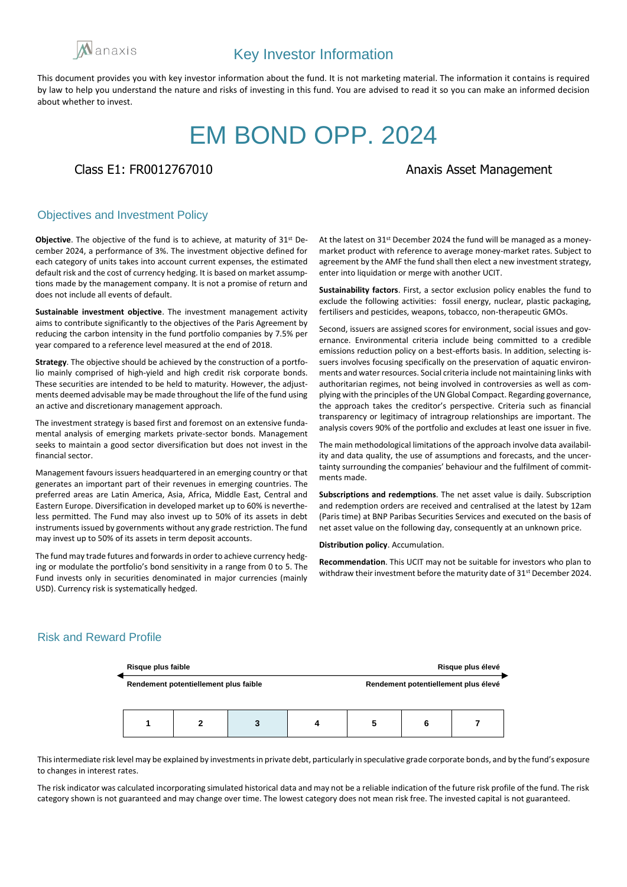

# EM BOND OPP. 2024

Class E1: FR0012767010 **Anazis Asset Management** 

### Objectives and Investment Policy

**Objective**. The objective of the fund is to achieve, at maturity of 31st December 2024, a performance of 3%. The investment objective defined for each category of units takes into account current expenses, the estimated default risk and the cost of currency hedging. It is based on market assumptions made by the management company. It is not a promise of return and does not include all events of default.

**Sustainable investment objective**. The investment management activity aims to contribute significantly to the objectives of the Paris Agreement by reducing the carbon intensity in the fund portfolio companies by 7.5% per year compared to a reference level measured at the end of 2018.

**Strategy**. The objective should be achieved by the construction of a portfolio mainly comprised of high-yield and high credit risk corporate bonds. These securities are intended to be held to maturity. However, the adjustments deemed advisable may be made throughout the life of the fund using an active and discretionary management approach.

The investment strategy is based first and foremost on an extensive fundamental analysis of emerging markets private-sector bonds. Management seeks to maintain a good sector diversification but does not invest in the financial sector.

Management favours issuers headquartered in an emerging country or that generates an important part of their revenues in emerging countries. The preferred areas are Latin America, Asia, Africa, Middle East, Central and Eastern Europe. Diversification in developed market up to 60% is nevertheless permitted. The Fund may also invest up to 50% of its assets in debt instruments issued by governments without any grade restriction. The fund may invest up to 50% of its assets in term deposit accounts.

The fund may trade futures and forwards in order to achieve currency hedging or modulate the portfolio's bond sensitivity in a range from 0 to 5. The Fund invests only in securities denominated in major currencies (mainly USD). Currency risk is systematically hedged.

At the latest on 31st December 2024 the fund will be managed as a moneymarket product with reference to average money-market rates. Subject to agreement by the AMF the fund shall then elect a new investment strategy, enter into liquidation or merge with another UCIT.

**Sustainability factors**. First, a sector exclusion policy enables the fund to exclude the following activities: fossil energy, nuclear, plastic packaging, fertilisers and pesticides, weapons, tobacco, non-therapeutic GMOs.

Second, issuers are assigned scores for environment, social issues and governance. Environmental criteria include being committed to a credible emissions reduction policy on a best-efforts basis. In addition, selecting issuers involves focusing specifically on the preservation of aquatic environments and water resources. Social criteria include not maintaining links with authoritarian regimes, not being involved in controversies as well as complying with the principles of the UN Global Compact. Regarding governance, the approach takes the creditor's perspective. Criteria such as financial transparency or legitimacy of intragroup relationships are important. The analysis covers 90% of the portfolio and excludes at least one issuer in five.

The main methodological limitations of the approach involve data availability and data quality, the use of assumptions and forecasts, and the uncertainty surrounding the companies' behaviour and the fulfilment of commitments made.

**Subscriptions and redemptions**. The net asset value is daily. Subscription and redemption orders are received and centralised at the latest by 12am (Paris time) at BNP Paribas Securities Services and executed on the basis of net asset value on the following day, consequently at an unknown price.

**Distribution policy**. Accumulation.

**Recommendation**. This UCIT may not be suitable for investors who plan to withdraw their investment before the maturity date of 31<sup>st</sup> December 2024.

# Risk and Reward Profile



This intermediate risk level may be explained by investments in private debt, particularly in speculative grade corporate bonds, and by the fund's exposure to changes in interest rates.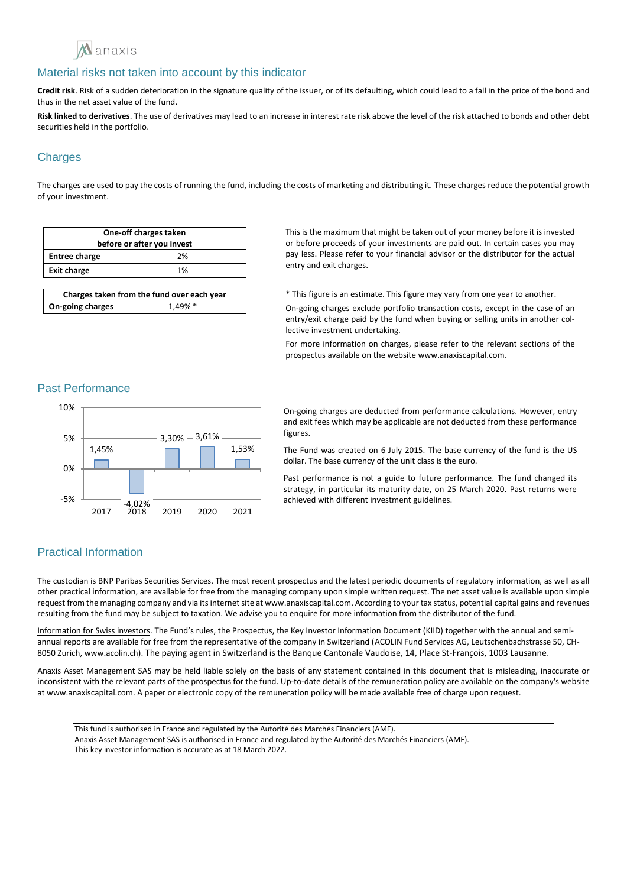

**Credit risk**. Risk of a sudden deterioration in the signature quality of the issuer, or of its defaulting, which could lead to a fall in the price of the bond and thus in the net asset value of the fund.

**Risk linked to derivatives**. The use of derivatives may lead to an increase in interest rate risk above the level of the risk attached to bonds and other debt securities held in the portfolio.

# **Charges**

The charges are used to pay the costs of running the fund, including the costs of marketing and distributing it. These charges reduce the potential growth of your investment.

| One-off charges taken<br>before or after you invest |    |
|-----------------------------------------------------|----|
| <b>Entree charge</b>                                | 2% |
| <b>Exit charge</b>                                  | 1% |
|                                                     |    |

| Charges taken from the fund over each year |            |
|--------------------------------------------|------------|
| On-going charges                           | $1.49\%$ * |

This is the maximum that might be taken out of your money before it is invested or before proceeds of your investments are paid out. In certain cases you may pay less. Please refer to your financial advisor or the distributor for the actual entry and exit charges.

\* This figure is an estimate. This figure may vary from one year to another.

On-going charges exclude portfolio transaction costs, except in the case of an entry/exit charge paid by the fund when buying or selling units in another collective investment undertaking.

For more information on charges, please refer to the relevant sections of the prospectus available on the website www.anaxiscapital.com.

#### Past Performance



On-going charges are deducted from performance calculations. However, entry and exit fees which may be applicable are not deducted from these performance figures.

The Fund was created on 6 July 2015. The base currency of the fund is the US dollar. The base currency of the unit class is the euro.

Past performance is not a guide to future performance. The fund changed its strategy, in particular its maturity date, on 25 March 2020. Past returns were achieved with different investment guidelines.

# Practical Information

The custodian is BNP Paribas Securities Services. The most recent prospectus and the latest periodic documents of regulatory information, as well as all other practical information, are available for free from the managing company upon simple written request. The net asset value is available upon simple request from the managing company and via its internet site at www.anaxiscapital.com. According to your tax status, potential capital gains and revenues resulting from the fund may be subject to taxation. We advise you to enquire for more information from the distributor of the fund.

Information for Swiss investors. The Fund's rules, the Prospectus, the Key Investor Information Document (KIID) together with the annual and semiannual reports are available for free from the representative of the company in Switzerland (ACOLIN Fund Services AG, Leutschenbachstrasse 50, CH-8050 Zurich, www.acolin.ch). The paying agent in Switzerland is the Banque Cantonale Vaudoise, 14, Place St-François, 1003 Lausanne.

Anaxis Asset Management SAS may be held liable solely on the basis of any statement contained in this document that is misleading, inaccurate or inconsistent with the relevant parts of the prospectus for the fund. Up-to-date details of the remuneration policy are available on the company's website at www.anaxiscapital.com. A paper or electronic copy of the remuneration policy will be made available free of charge upon request.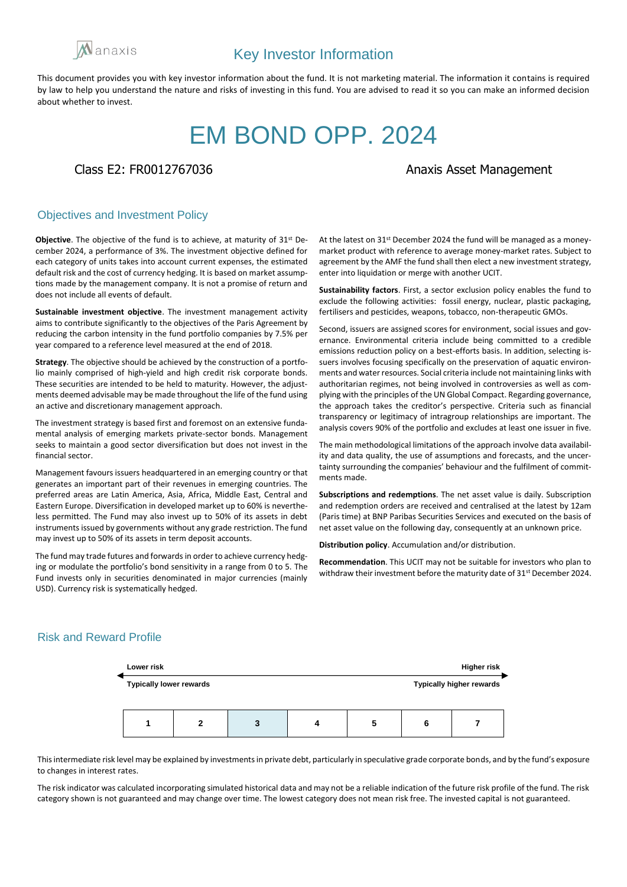

# EM BOND OPP. 2024

## Class E2: FR0012767036 Anaxis Asset Management

## Objectives and Investment Policy

**Objective**. The objective of the fund is to achieve, at maturity of 31st December 2024, a performance of 3%. The investment objective defined for each category of units takes into account current expenses, the estimated default risk and the cost of currency hedging. It is based on market assumptions made by the management company. It is not a promise of return and does not include all events of default.

**Sustainable investment objective**. The investment management activity aims to contribute significantly to the objectives of the Paris Agreement by reducing the carbon intensity in the fund portfolio companies by 7.5% per year compared to a reference level measured at the end of 2018.

**Strategy**. The objective should be achieved by the construction of a portfolio mainly comprised of high-yield and high credit risk corporate bonds. These securities are intended to be held to maturity. However, the adjustments deemed advisable may be made throughout the life of the fund using an active and discretionary management approach.

The investment strategy is based first and foremost on an extensive fundamental analysis of emerging markets private-sector bonds. Management seeks to maintain a good sector diversification but does not invest in the financial sector.

Management favours issuers headquartered in an emerging country or that generates an important part of their revenues in emerging countries. The preferred areas are Latin America, Asia, Africa, Middle East, Central and Eastern Europe. Diversification in developed market up to 60% is nevertheless permitted. The Fund may also invest up to 50% of its assets in debt instruments issued by governments without any grade restriction. The fund may invest up to 50% of its assets in term deposit accounts.

The fund may trade futures and forwards in order to achieve currency hedging or modulate the portfolio's bond sensitivity in a range from 0 to 5. The Fund invests only in securities denominated in major currencies (mainly USD). Currency risk is systematically hedged.

At the latest on 31st December 2024 the fund will be managed as a moneymarket product with reference to average money-market rates. Subject to agreement by the AMF the fund shall then elect a new investment strategy, enter into liquidation or merge with another UCIT.

**Sustainability factors**. First, a sector exclusion policy enables the fund to exclude the following activities: fossil energy, nuclear, plastic packaging, fertilisers and pesticides, weapons, tobacco, non-therapeutic GMOs.

Second, issuers are assigned scores for environment, social issues and governance. Environmental criteria include being committed to a credible emissions reduction policy on a best-efforts basis. In addition, selecting issuers involves focusing specifically on the preservation of aquatic environments and water resources. Social criteria include not maintaining links with authoritarian regimes, not being involved in controversies as well as complying with the principles of the UN Global Compact. Regarding governance, the approach takes the creditor's perspective. Criteria such as financial transparency or legitimacy of intragroup relationships are important. The analysis covers 90% of the portfolio and excludes at least one issuer in five.

The main methodological limitations of the approach involve data availability and data quality, the use of assumptions and forecasts, and the uncertainty surrounding the companies' behaviour and the fulfilment of commitments made.

**Subscriptions and redemptions**. The net asset value is daily. Subscription and redemption orders are received and centralised at the latest by 12am (Paris time) at BNP Paribas Securities Services and executed on the basis of net asset value on the following day, consequently at an unknown price.

**Distribution policy**. Accumulation and/or distribution.

**Recommendation**. This UCIT may not be suitable for investors who plan to withdraw their investment before the maturity date of 31<sup>st</sup> December 2024.

# Risk and Reward Profile



This intermediate risk level may be explained by investments in private debt, particularly in speculative grade corporate bonds, and by the fund's exposure to changes in interest rates.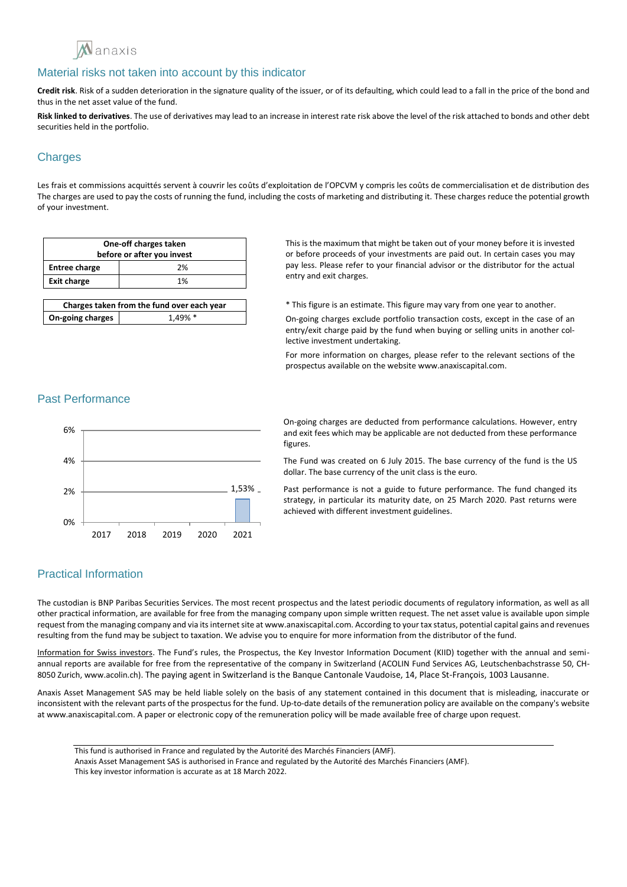

**Credit risk**. Risk of a sudden deterioration in the signature quality of the issuer, or of its defaulting, which could lead to a fall in the price of the bond and thus in the net asset value of the fund.

**Risk linked to derivatives**. The use of derivatives may lead to an increase in interest rate risk above the level of the risk attached to bonds and other debt securities held in the portfolio.

# **Charges**

Les frais et commissions acquittés servent à couvrir les coûts d'exploitation de l'OPCVM y compris les coûts de commercialisation et de distribution des The charges are used to pay the costs of running the fund, including the costs of marketing and distributing it. These charges reduce the potential growth of your investment.

| One-off charges taken<br>before or after you invest |    |
|-----------------------------------------------------|----|
| <b>Entree charge</b>                                | 2% |
| <b>Exit charge</b>                                  | 1% |
|                                                     |    |

| Charges taken from the fund over each year |            |
|--------------------------------------------|------------|
| On-going charges                           | $1.49\%$ * |

This is the maximum that might be taken out of your money before it is invested or before proceeds of your investments are paid out. In certain cases you may pay less. Please refer to your financial advisor or the distributor for the actual entry and exit charges.

\* This figure is an estimate. This figure may vary from one year to another.

On-going charges exclude portfolio transaction costs, except in the case of an entry/exit charge paid by the fund when buying or selling units in another collective investment undertaking.

For more information on charges, please refer to the relevant sections of the prospectus available on the website www.anaxiscapital.com.

## Past Performance



On-going charges are deducted from performance calculations. However, entry and exit fees which may be applicable are not deducted from these performance figures.

The Fund was created on 6 July 2015. The base currency of the fund is the US dollar. The base currency of the unit class is the euro.

Past performance is not a guide to future performance. The fund changed its strategy, in particular its maturity date, on 25 March 2020. Past returns were achieved with different investment guidelines.

# Practical Information

The custodian is BNP Paribas Securities Services. The most recent prospectus and the latest periodic documents of regulatory information, as well as all other practical information, are available for free from the managing company upon simple written request. The net asset value is available upon simple request from the managing company and via its internet site at www.anaxiscapital.com. According to your tax status, potential capital gains and revenues resulting from the fund may be subject to taxation. We advise you to enquire for more information from the distributor of the fund.

Information for Swiss investors. The Fund's rules, the Prospectus, the Key Investor Information Document (KIID) together with the annual and semiannual reports are available for free from the representative of the company in Switzerland (ACOLIN Fund Services AG, Leutschenbachstrasse 50, CH-8050 Zurich, www.acolin.ch). The paying agent in Switzerland is the Banque Cantonale Vaudoise, 14, Place St-François, 1003 Lausanne.

Anaxis Asset Management SAS may be held liable solely on the basis of any statement contained in this document that is misleading, inaccurate or inconsistent with the relevant parts of the prospectus for the fund. Up-to-date details of the remuneration policy are available on the company's website at www.anaxiscapital.com. A paper or electronic copy of the remuneration policy will be made available free of charge upon request.

This fund is authorised in France and regulated by the Autorité des Marchés Financiers (AMF).

Anaxis Asset Management SAS is authorised in France and regulated by the Autorité des Marchés Financiers (AMF).

This key investor information is accurate as at 18 March 2022.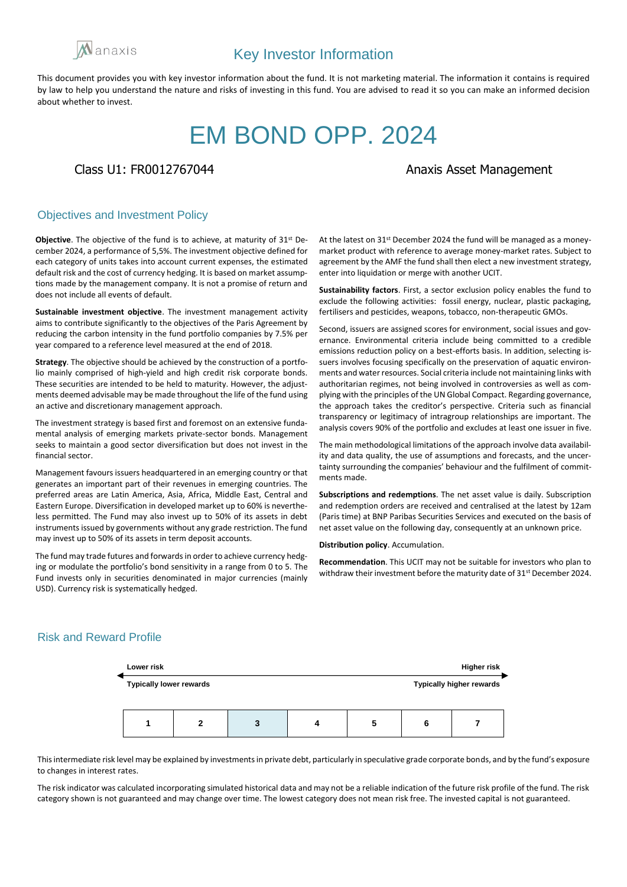

# EM BOND OPP. 2024

# Class U1: FR0012767044 **Anazis Asset Management**

### Objectives and Investment Policy

**Objective**. The objective of the fund is to achieve, at maturity of 31st December 2024, a performance of 5,5%. The investment objective defined for each category of units takes into account current expenses, the estimated default risk and the cost of currency hedging. It is based on market assumptions made by the management company. It is not a promise of return and does not include all events of default.

**Sustainable investment objective**. The investment management activity aims to contribute significantly to the objectives of the Paris Agreement by reducing the carbon intensity in the fund portfolio companies by 7.5% per year compared to a reference level measured at the end of 2018.

**Strategy**. The objective should be achieved by the construction of a portfolio mainly comprised of high-yield and high credit risk corporate bonds. These securities are intended to be held to maturity. However, the adjustments deemed advisable may be made throughout the life of the fund using an active and discretionary management approach.

The investment strategy is based first and foremost on an extensive fundamental analysis of emerging markets private-sector bonds. Management seeks to maintain a good sector diversification but does not invest in the financial sector.

Management favours issuers headquartered in an emerging country or that generates an important part of their revenues in emerging countries. The preferred areas are Latin America, Asia, Africa, Middle East, Central and Eastern Europe. Diversification in developed market up to 60% is nevertheless permitted. The Fund may also invest up to 50% of its assets in debt instruments issued by governments without any grade restriction. The fund may invest up to 50% of its assets in term deposit accounts.

The fund may trade futures and forwards in order to achieve currency hedging or modulate the portfolio's bond sensitivity in a range from 0 to 5. The Fund invests only in securities denominated in major currencies (mainly USD). Currency risk is systematically hedged.

At the latest on 31st December 2024 the fund will be managed as a moneymarket product with reference to average money-market rates. Subject to agreement by the AMF the fund shall then elect a new investment strategy, enter into liquidation or merge with another UCIT.

**Sustainability factors**. First, a sector exclusion policy enables the fund to exclude the following activities: fossil energy, nuclear, plastic packaging, fertilisers and pesticides, weapons, tobacco, non-therapeutic GMOs.

Second, issuers are assigned scores for environment, social issues and governance. Environmental criteria include being committed to a credible emissions reduction policy on a best-efforts basis. In addition, selecting issuers involves focusing specifically on the preservation of aquatic environments and water resources. Social criteria include not maintaining links with authoritarian regimes, not being involved in controversies as well as complying with the principles of the UN Global Compact. Regarding governance, the approach takes the creditor's perspective. Criteria such as financial transparency or legitimacy of intragroup relationships are important. The analysis covers 90% of the portfolio and excludes at least one issuer in five.

The main methodological limitations of the approach involve data availability and data quality, the use of assumptions and forecasts, and the uncertainty surrounding the companies' behaviour and the fulfilment of commitments made.

**Subscriptions and redemptions**. The net asset value is daily. Subscription and redemption orders are received and centralised at the latest by 12am (Paris time) at BNP Paribas Securities Services and executed on the basis of net asset value on the following day, consequently at an unknown price.

**Distribution policy**. Accumulation.

**Recommendation**. This UCIT may not be suitable for investors who plan to withdraw their investment before the maturity date of 31<sup>st</sup> December 2024.

### Risk and Reward Profile



This intermediate risk level may be explained by investments in private debt, particularly in speculative grade corporate bonds, and by the fund's exposure to changes in interest rates.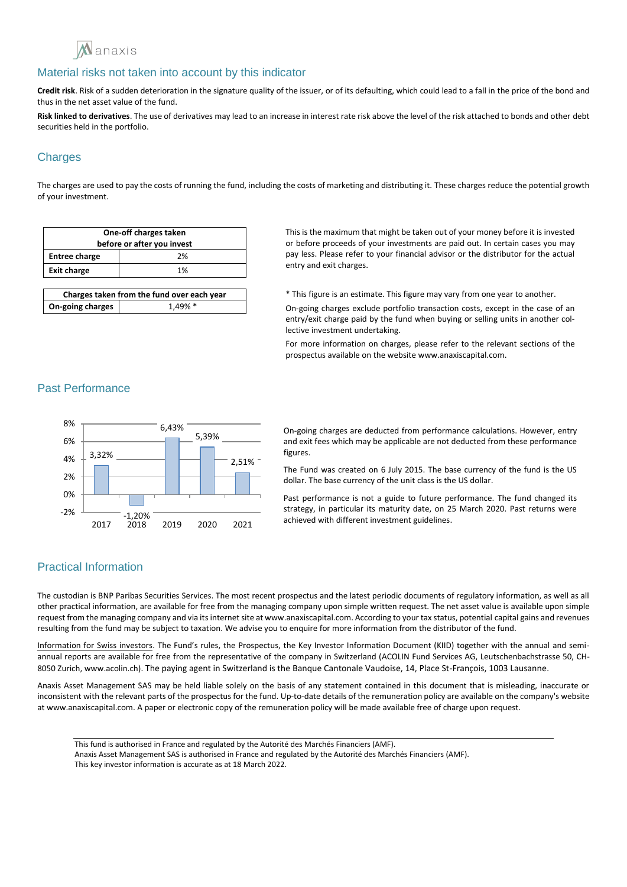

**Credit risk**. Risk of a sudden deterioration in the signature quality of the issuer, or of its defaulting, which could lead to a fall in the price of the bond and thus in the net asset value of the fund.

**Risk linked to derivatives**. The use of derivatives may lead to an increase in interest rate risk above the level of the risk attached to bonds and other debt securities held in the portfolio.

# **Charges**

The charges are used to pay the costs of running the fund, including the costs of marketing and distributing it. These charges reduce the potential growth of your investment.

| One-off charges taken<br>before or after you invest |    |
|-----------------------------------------------------|----|
| <b>Entree charge</b>                                | 2% |
| <b>Exit charge</b>                                  | 1% |
|                                                     |    |

| Charges taken from the fund over each year |            |
|--------------------------------------------|------------|
| On-going charges                           | $1.49\%$ * |

This is the maximum that might be taken out of your money before it is invested or before proceeds of your investments are paid out. In certain cases you may pay less. Please refer to your financial advisor or the distributor for the actual entry and exit charges.

\* This figure is an estimate. This figure may vary from one year to another.

On-going charges exclude portfolio transaction costs, except in the case of an entry/exit charge paid by the fund when buying or selling units in another collective investment undertaking.

For more information on charges, please refer to the relevant sections of the prospectus available on the website www.anaxiscapital.com.

### Past Performance



On-going charges are deducted from performance calculations. However, entry and exit fees which may be applicable are not deducted from these performance figures.

The Fund was created on 6 July 2015. The base currency of the fund is the US dollar. The base currency of the unit class is the US dollar.

Past performance is not a guide to future performance. The fund changed its strategy, in particular its maturity date, on 25 March 2020. Past returns were achieved with different investment guidelines.

# Practical Information

The custodian is BNP Paribas Securities Services. The most recent prospectus and the latest periodic documents of regulatory information, as well as all other practical information, are available for free from the managing company upon simple written request. The net asset value is available upon simple request from the managing company and via its internet site at www.anaxiscapital.com. According to your tax status, potential capital gains and revenues resulting from the fund may be subject to taxation. We advise you to enquire for more information from the distributor of the fund.

Information for Swiss investors. The Fund's rules, the Prospectus, the Key Investor Information Document (KIID) together with the annual and semiannual reports are available for free from the representative of the company in Switzerland (ACOLIN Fund Services AG, Leutschenbachstrasse 50, CH-8050 Zurich, www.acolin.ch). The paying agent in Switzerland is the Banque Cantonale Vaudoise, 14, Place St-François, 1003 Lausanne.

Anaxis Asset Management SAS may be held liable solely on the basis of any statement contained in this document that is misleading, inaccurate or inconsistent with the relevant parts of the prospectus for the fund. Up-to-date details of the remuneration policy are available on the company's website at www.anaxiscapital.com. A paper or electronic copy of the remuneration policy will be made available free of charge upon request.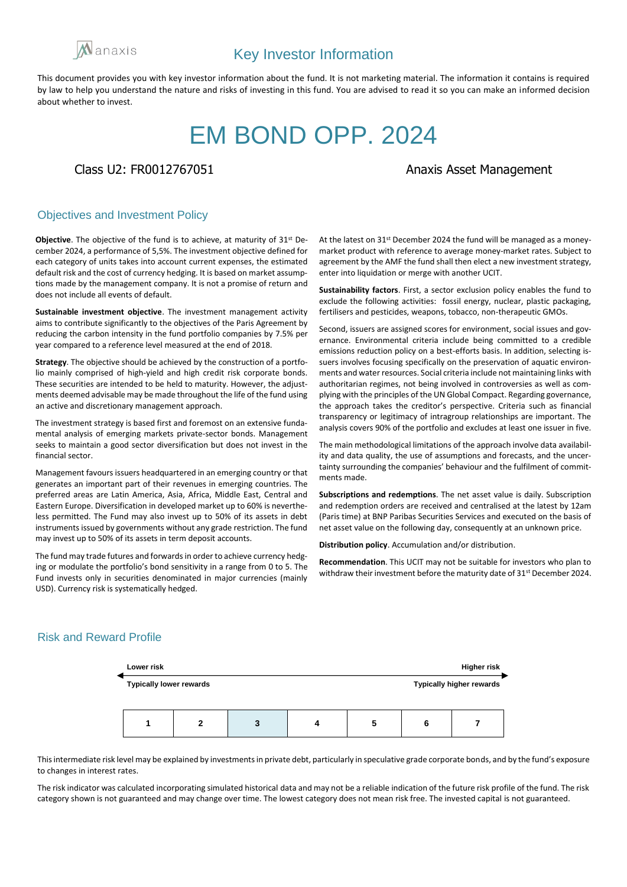

# EM BOND OPP. 2024

## Class U2: FR0012767051 Class 102: FR0012767051

### Objectives and Investment Policy

**Objective**. The objective of the fund is to achieve, at maturity of 31st December 2024, a performance of 5,5%. The investment objective defined for each category of units takes into account current expenses, the estimated default risk and the cost of currency hedging. It is based on market assumptions made by the management company. It is not a promise of return and does not include all events of default.

**Sustainable investment objective**. The investment management activity aims to contribute significantly to the objectives of the Paris Agreement by reducing the carbon intensity in the fund portfolio companies by 7.5% per year compared to a reference level measured at the end of 2018.

**Strategy**. The objective should be achieved by the construction of a portfolio mainly comprised of high-yield and high credit risk corporate bonds. These securities are intended to be held to maturity. However, the adjustments deemed advisable may be made throughout the life of the fund using an active and discretionary management approach.

The investment strategy is based first and foremost on an extensive fundamental analysis of emerging markets private-sector bonds. Management seeks to maintain a good sector diversification but does not invest in the financial sector.

Management favours issuers headquartered in an emerging country or that generates an important part of their revenues in emerging countries. The preferred areas are Latin America, Asia, Africa, Middle East, Central and Eastern Europe. Diversification in developed market up to 60% is nevertheless permitted. The Fund may also invest up to 50% of its assets in debt instruments issued by governments without any grade restriction. The fund may invest up to 50% of its assets in term deposit accounts.

The fund may trade futures and forwards in order to achieve currency hedging or modulate the portfolio's bond sensitivity in a range from 0 to 5. The Fund invests only in securities denominated in major currencies (mainly USD). Currency risk is systematically hedged.

At the latest on 31st December 2024 the fund will be managed as a moneymarket product with reference to average money-market rates. Subject to agreement by the AMF the fund shall then elect a new investment strategy, enter into liquidation or merge with another UCIT.

**Sustainability factors**. First, a sector exclusion policy enables the fund to exclude the following activities: fossil energy, nuclear, plastic packaging, fertilisers and pesticides, weapons, tobacco, non-therapeutic GMOs.

Second, issuers are assigned scores for environment, social issues and governance. Environmental criteria include being committed to a credible emissions reduction policy on a best-efforts basis. In addition, selecting issuers involves focusing specifically on the preservation of aquatic environments and water resources. Social criteria include not maintaining links with authoritarian regimes, not being involved in controversies as well as complying with the principles of the UN Global Compact. Regarding governance, the approach takes the creditor's perspective. Criteria such as financial transparency or legitimacy of intragroup relationships are important. The analysis covers 90% of the portfolio and excludes at least one issuer in five.

The main methodological limitations of the approach involve data availability and data quality, the use of assumptions and forecasts, and the uncertainty surrounding the companies' behaviour and the fulfilment of commitments made.

**Subscriptions and redemptions**. The net asset value is daily. Subscription and redemption orders are received and centralised at the latest by 12am (Paris time) at BNP Paribas Securities Services and executed on the basis of net asset value on the following day, consequently at an unknown price.

**Distribution policy**. Accumulation and/or distribution.

**Recommendation**. This UCIT may not be suitable for investors who plan to withdraw their investment before the maturity date of 31<sup>st</sup> December 2024.

# Risk and Reward Profile



This intermediate risk level may be explained by investments in private debt, particularly in speculative grade corporate bonds, and by the fund's exposure to changes in interest rates.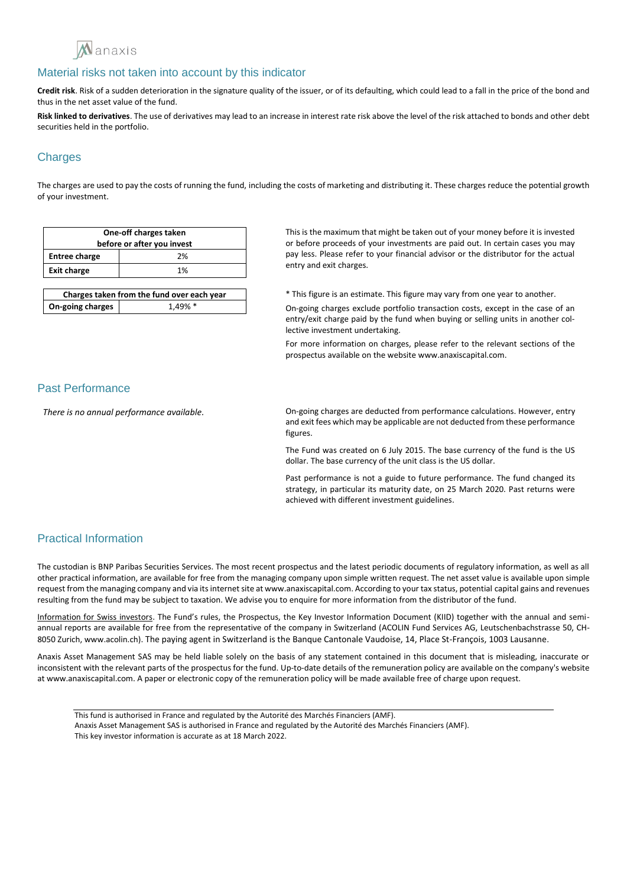

**Credit risk**. Risk of a sudden deterioration in the signature quality of the issuer, or of its defaulting, which could lead to a fall in the price of the bond and thus in the net asset value of the fund.

**Risk linked to derivatives**. The use of derivatives may lead to an increase in interest rate risk above the level of the risk attached to bonds and other debt securities held in the portfolio.

# **Charges**

The charges are used to pay the costs of running the fund, including the costs of marketing and distributing it. These charges reduce the potential growth of your investment.

| One-off charges taken<br>before or after you invest |    |
|-----------------------------------------------------|----|
| <b>Entree charge</b>                                | 2% |
| <b>Exit charge</b>                                  | 1% |
|                                                     |    |

| Charges taken from the fund over each year |            |
|--------------------------------------------|------------|
| On-going charges                           | $1.49\%$ * |

This is the maximum that might be taken out of your money before it is invested or before proceeds of your investments are paid out. In certain cases you may pay less. Please refer to your financial advisor or the distributor for the actual entry and exit charges.

\* This figure is an estimate. This figure may vary from one year to another.

On-going charges exclude portfolio transaction costs, except in the case of an entry/exit charge paid by the fund when buying or selling units in another collective investment undertaking.

For more information on charges, please refer to the relevant sections of the prospectus available on the website www.anaxiscapital.com.

### Past Performance

*There is no annual performance available.* On-going charges are deducted from performance calculations. However, entry and exit fees which may be applicable are not deducted from these performance figures.

> The Fund was created on 6 July 2015. The base currency of the fund is the US dollar. The base currency of the unit class is the US dollar.

> Past performance is not a guide to future performance. The fund changed its strategy, in particular its maturity date, on 25 March 2020. Past returns were achieved with different investment guidelines.

# Practical Information

The custodian is BNP Paribas Securities Services. The most recent prospectus and the latest periodic documents of regulatory information, as well as all other practical information, are available for free from the managing company upon simple written request. The net asset value is available upon simple request from the managing company and via its internet site at www.anaxiscapital.com. According to your tax status, potential capital gains and revenues resulting from the fund may be subject to taxation. We advise you to enquire for more information from the distributor of the fund.

Information for Swiss investors. The Fund's rules, the Prospectus, the Key Investor Information Document (KIID) together with the annual and semiannual reports are available for free from the representative of the company in Switzerland (ACOLIN Fund Services AG, Leutschenbachstrasse 50, CH-8050 Zurich, www.acolin.ch). The paying agent in Switzerland is the Banque Cantonale Vaudoise, 14, Place St-François, 1003 Lausanne.

This fund is authorised in France and regulated by the Autorité des Marchés Financiers (AMF). Anaxis Asset Management SAS is authorised in France and regulated by the Autorité des Marchés Financiers (AMF). This key investor information is accurate as at 18 March 2022.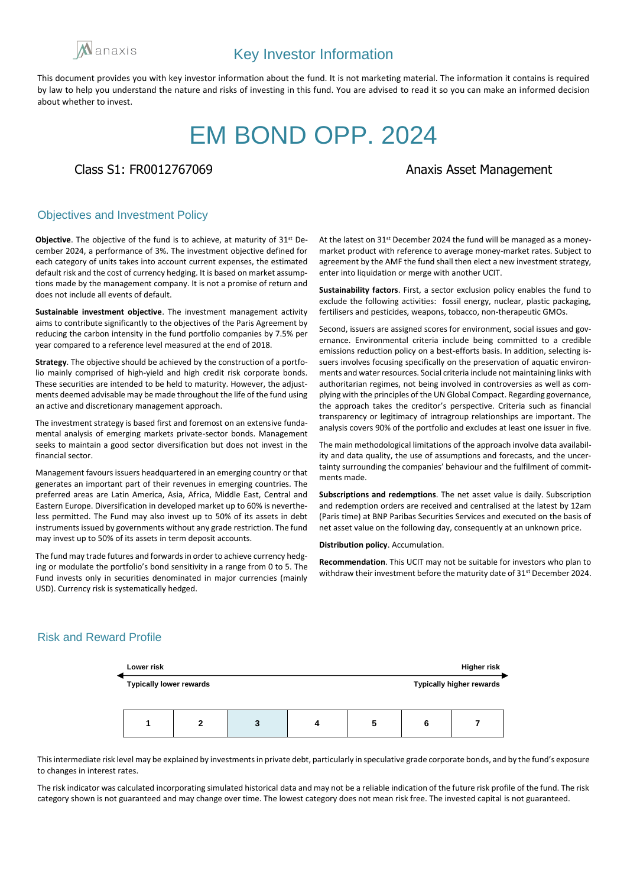

# EM BOND OPP. 2024

## Class S1: FR0012767069 **Anazis Asset Management**

### Objectives and Investment Policy

**Objective**. The objective of the fund is to achieve, at maturity of 31st December 2024, a performance of 3%. The investment objective defined for each category of units takes into account current expenses, the estimated default risk and the cost of currency hedging. It is based on market assumptions made by the management company. It is not a promise of return and does not include all events of default.

**Sustainable investment objective**. The investment management activity aims to contribute significantly to the objectives of the Paris Agreement by reducing the carbon intensity in the fund portfolio companies by 7.5% per year compared to a reference level measured at the end of 2018.

**Strategy**. The objective should be achieved by the construction of a portfolio mainly comprised of high-yield and high credit risk corporate bonds. These securities are intended to be held to maturity. However, the adjustments deemed advisable may be made throughout the life of the fund using an active and discretionary management approach.

The investment strategy is based first and foremost on an extensive fundamental analysis of emerging markets private-sector bonds. Management seeks to maintain a good sector diversification but does not invest in the financial sector.

Management favours issuers headquartered in an emerging country or that generates an important part of their revenues in emerging countries. The preferred areas are Latin America, Asia, Africa, Middle East, Central and Eastern Europe. Diversification in developed market up to 60% is nevertheless permitted. The Fund may also invest up to 50% of its assets in debt instruments issued by governments without any grade restriction. The fund may invest up to 50% of its assets in term deposit accounts.

The fund may trade futures and forwards in order to achieve currency hedging or modulate the portfolio's bond sensitivity in a range from 0 to 5. The Fund invests only in securities denominated in major currencies (mainly USD). Currency risk is systematically hedged.

At the latest on 31st December 2024 the fund will be managed as a moneymarket product with reference to average money-market rates. Subject to agreement by the AMF the fund shall then elect a new investment strategy, enter into liquidation or merge with another UCIT.

**Sustainability factors**. First, a sector exclusion policy enables the fund to exclude the following activities: fossil energy, nuclear, plastic packaging, fertilisers and pesticides, weapons, tobacco, non-therapeutic GMOs.

Second, issuers are assigned scores for environment, social issues and governance. Environmental criteria include being committed to a credible emissions reduction policy on a best-efforts basis. In addition, selecting issuers involves focusing specifically on the preservation of aquatic environments and water resources. Social criteria include not maintaining links with authoritarian regimes, not being involved in controversies as well as complying with the principles of the UN Global Compact. Regarding governance, the approach takes the creditor's perspective. Criteria such as financial transparency or legitimacy of intragroup relationships are important. The analysis covers 90% of the portfolio and excludes at least one issuer in five.

The main methodological limitations of the approach involve data availability and data quality, the use of assumptions and forecasts, and the uncertainty surrounding the companies' behaviour and the fulfilment of commitments made.

**Subscriptions and redemptions**. The net asset value is daily. Subscription and redemption orders are received and centralised at the latest by 12am (Paris time) at BNP Paribas Securities Services and executed on the basis of net asset value on the following day, consequently at an unknown price.

**Distribution policy**. Accumulation.

**Recommendation**. This UCIT may not be suitable for investors who plan to withdraw their investment before the maturity date of 31<sup>st</sup> December 2024.

# Risk and Reward Profile



This intermediate risk level may be explained by investments in private debt, particularly in speculative grade corporate bonds, and by the fund's exposure to changes in interest rates.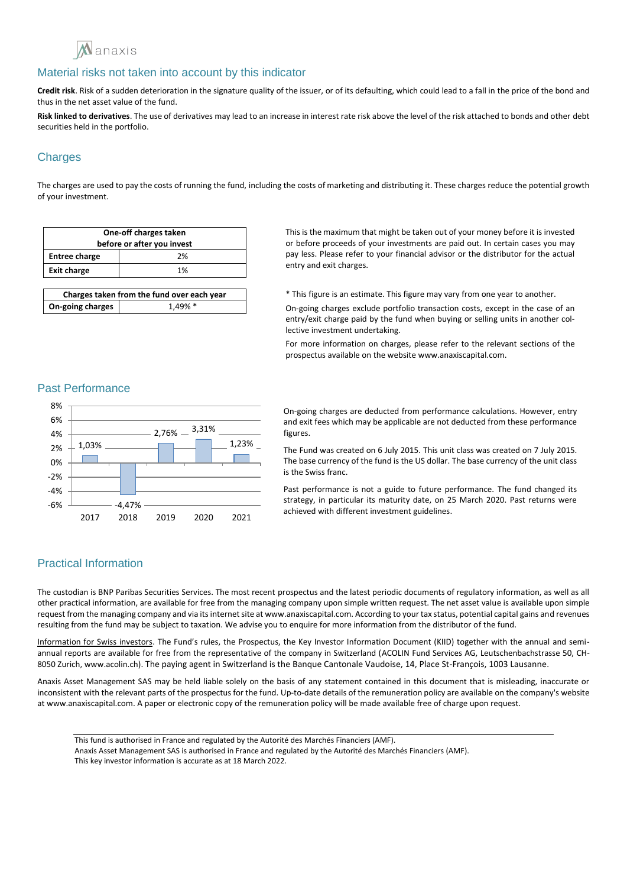

**Credit risk**. Risk of a sudden deterioration in the signature quality of the issuer, or of its defaulting, which could lead to a fall in the price of the bond and thus in the net asset value of the fund.

**Risk linked to derivatives**. The use of derivatives may lead to an increase in interest rate risk above the level of the risk attached to bonds and other debt securities held in the portfolio.

# **Charges**

The charges are used to pay the costs of running the fund, including the costs of marketing and distributing it. These charges reduce the potential growth of your investment.

| One-off charges taken<br>before or after you invest |    |
|-----------------------------------------------------|----|
| <b>Entree charge</b>                                | 2% |
| <b>Exit charge</b>                                  | 1% |
|                                                     |    |

| Charges taken from the fund over each year |            |
|--------------------------------------------|------------|
| On-going charges                           | $1.49\%$ * |

This is the maximum that might be taken out of your money before it is invested or before proceeds of your investments are paid out. In certain cases you may pay less. Please refer to your financial advisor or the distributor for the actual entry and exit charges.

\* This figure is an estimate. This figure may vary from one year to another.

On-going charges exclude portfolio transaction costs, except in the case of an entry/exit charge paid by the fund when buying or selling units in another collective investment undertaking.

For more information on charges, please refer to the relevant sections of the prospectus available on the website www.anaxiscapital.com.

#### Past Performance



On-going charges are deducted from performance calculations. However, entry and exit fees which may be applicable are not deducted from these performance figures.

The Fund was created on 6 July 2015. This unit class was created on 7 July 2015. The base currency of the fund is the US dollar. The base currency of the unit class is the Swiss franc.

Past performance is not a guide to future performance. The fund changed its strategy, in particular its maturity date, on 25 March 2020. Past returns were achieved with different investment guidelines.

# Practical Information

The custodian is BNP Paribas Securities Services. The most recent prospectus and the latest periodic documents of regulatory information, as well as all other practical information, are available for free from the managing company upon simple written request. The net asset value is available upon simple request from the managing company and via its internet site at www.anaxiscapital.com. According to your tax status, potential capital gains and revenues resulting from the fund may be subject to taxation. We advise you to enquire for more information from the distributor of the fund.

Information for Swiss investors. The Fund's rules, the Prospectus, the Key Investor Information Document (KIID) together with the annual and semiannual reports are available for free from the representative of the company in Switzerland (ACOLIN Fund Services AG, Leutschenbachstrasse 50, CH-8050 Zurich, www.acolin.ch). The paying agent in Switzerland is the Banque Cantonale Vaudoise, 14, Place St-François, 1003 Lausanne.

Anaxis Asset Management SAS may be held liable solely on the basis of any statement contained in this document that is misleading, inaccurate or inconsistent with the relevant parts of the prospectus for the fund. Up-to-date details of the remuneration policy are available on the company's website at www.anaxiscapital.com. A paper or electronic copy of the remuneration policy will be made available free of charge upon request.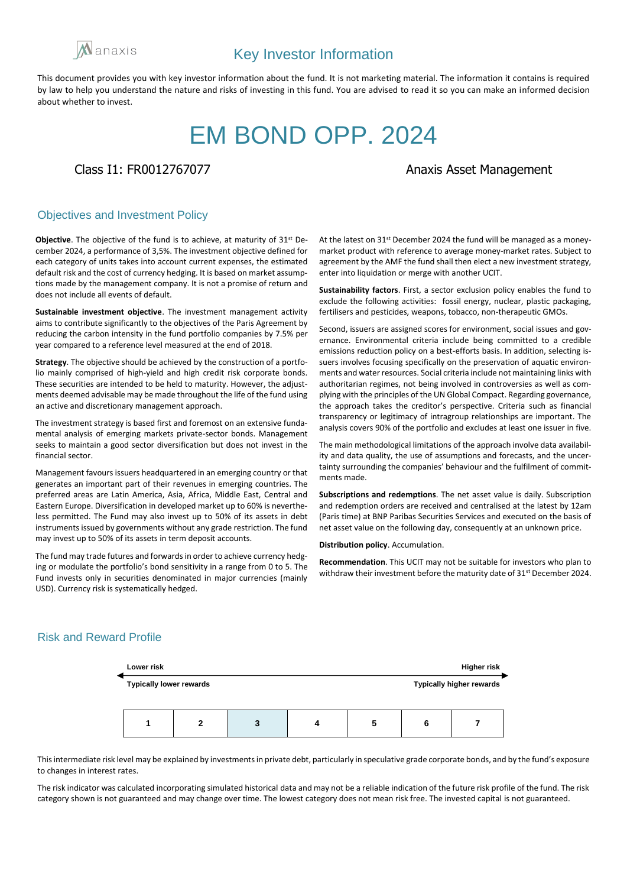

# EM BOND OPP. 2024

# Class I1: FR0012767077 Class I1: FR0012767077

### Objectives and Investment Policy

**Objective**. The objective of the fund is to achieve, at maturity of 31st December 2024, a performance of 3,5%. The investment objective defined for each category of units takes into account current expenses, the estimated default risk and the cost of currency hedging. It is based on market assumptions made by the management company. It is not a promise of return and does not include all events of default.

**Sustainable investment objective**. The investment management activity aims to contribute significantly to the objectives of the Paris Agreement by reducing the carbon intensity in the fund portfolio companies by 7.5% per year compared to a reference level measured at the end of 2018.

**Strategy**. The objective should be achieved by the construction of a portfolio mainly comprised of high-yield and high credit risk corporate bonds. These securities are intended to be held to maturity. However, the adjustments deemed advisable may be made throughout the life of the fund using an active and discretionary management approach.

The investment strategy is based first and foremost on an extensive fundamental analysis of emerging markets private-sector bonds. Management seeks to maintain a good sector diversification but does not invest in the financial sector.

Management favours issuers headquartered in an emerging country or that generates an important part of their revenues in emerging countries. The preferred areas are Latin America, Asia, Africa, Middle East, Central and Eastern Europe. Diversification in developed market up to 60% is nevertheless permitted. The Fund may also invest up to 50% of its assets in debt instruments issued by governments without any grade restriction. The fund may invest up to 50% of its assets in term deposit accounts.

The fund may trade futures and forwards in order to achieve currency hedging or modulate the portfolio's bond sensitivity in a range from 0 to 5. The Fund invests only in securities denominated in major currencies (mainly USD). Currency risk is systematically hedged.

At the latest on 31st December 2024 the fund will be managed as a moneymarket product with reference to average money-market rates. Subject to agreement by the AMF the fund shall then elect a new investment strategy, enter into liquidation or merge with another UCIT.

**Sustainability factors**. First, a sector exclusion policy enables the fund to exclude the following activities: fossil energy, nuclear, plastic packaging, fertilisers and pesticides, weapons, tobacco, non-therapeutic GMOs.

Second, issuers are assigned scores for environment, social issues and governance. Environmental criteria include being committed to a credible emissions reduction policy on a best-efforts basis. In addition, selecting issuers involves focusing specifically on the preservation of aquatic environments and water resources. Social criteria include not maintaining links with authoritarian regimes, not being involved in controversies as well as complying with the principles of the UN Global Compact. Regarding governance, the approach takes the creditor's perspective. Criteria such as financial transparency or legitimacy of intragroup relationships are important. The analysis covers 90% of the portfolio and excludes at least one issuer in five.

The main methodological limitations of the approach involve data availability and data quality, the use of assumptions and forecasts, and the uncertainty surrounding the companies' behaviour and the fulfilment of commitments made.

**Subscriptions and redemptions**. The net asset value is daily. Subscription and redemption orders are received and centralised at the latest by 12am (Paris time) at BNP Paribas Securities Services and executed on the basis of net asset value on the following day, consequently at an unknown price.

**Distribution policy**. Accumulation.

**Recommendation**. This UCIT may not be suitable for investors who plan to withdraw their investment before the maturity date of 31<sup>st</sup> December 2024.

## Risk and Reward Profile



This intermediate risk level may be explained by investments in private debt, particularly in speculative grade corporate bonds, and by the fund's exposure to changes in interest rates.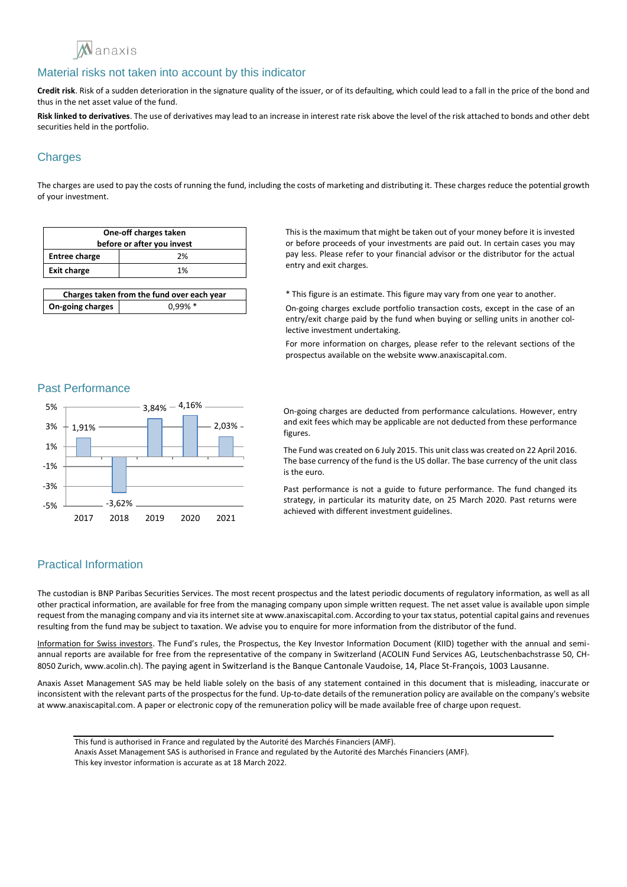

**Credit risk**. Risk of a sudden deterioration in the signature quality of the issuer, or of its defaulting, which could lead to a fall in the price of the bond and thus in the net asset value of the fund.

**Risk linked to derivatives**. The use of derivatives may lead to an increase in interest rate risk above the level of the risk attached to bonds and other debt securities held in the portfolio.

# **Charges**

The charges are used to pay the costs of running the fund, including the costs of marketing and distributing it. These charges reduce the potential growth of your investment.

| One-off charges taken<br>before or after you invest |    |
|-----------------------------------------------------|----|
| <b>Entree charge</b>                                | 2% |
| <b>Exit charge</b>                                  | 1% |
|                                                     |    |

| Charges taken from the fund over each year |            |
|--------------------------------------------|------------|
| On-going charges                           | $0.99\% *$ |

This is the maximum that might be taken out of your money before it is invested or before proceeds of your investments are paid out. In certain cases you may pay less. Please refer to your financial advisor or the distributor for the actual entry and exit charges.

\* This figure is an estimate. This figure may vary from one year to another.

On-going charges exclude portfolio transaction costs, except in the case of an entry/exit charge paid by the fund when buying or selling units in another collective investment undertaking.

For more information on charges, please refer to the relevant sections of the prospectus available on the website www.anaxiscapital.com.

#### Past Performance



On-going charges are deducted from performance calculations. However, entry and exit fees which may be applicable are not deducted from these performance figures.

The Fund was created on 6 July 2015. This unit class was created on 22 April 2016. The base currency of the fund is the US dollar. The base currency of the unit class is the euro.

Past performance is not a guide to future performance. The fund changed its strategy, in particular its maturity date, on 25 March 2020. Past returns were achieved with different investment guidelines.

# Practical Information

The custodian is BNP Paribas Securities Services. The most recent prospectus and the latest periodic documents of regulatory information, as well as all other practical information, are available for free from the managing company upon simple written request. The net asset value is available upon simple request from the managing company and via its internet site at www.anaxiscapital.com. According to your tax status, potential capital gains and revenues resulting from the fund may be subject to taxation. We advise you to enquire for more information from the distributor of the fund.

Information for Swiss investors. The Fund's rules, the Prospectus, the Key Investor Information Document (KIID) together with the annual and semiannual reports are available for free from the representative of the company in Switzerland (ACOLIN Fund Services AG, Leutschenbachstrasse 50, CH-8050 Zurich, www.acolin.ch). The paying agent in Switzerland is the Banque Cantonale Vaudoise, 14, Place St-François, 1003 Lausanne.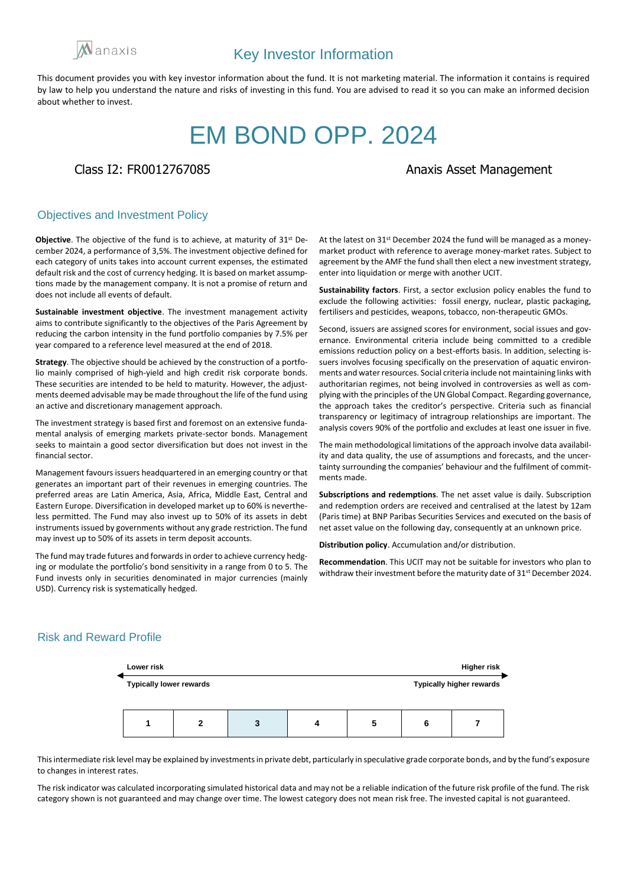

# EM BOND OPP. 2024

## Class I2: FR0012767085 Anaxis Asset Management

### Objectives and Investment Policy

**Objective**. The objective of the fund is to achieve, at maturity of 31st December 2024, a performance of 3,5%. The investment objective defined for each category of units takes into account current expenses, the estimated default risk and the cost of currency hedging. It is based on market assumptions made by the management company. It is not a promise of return and does not include all events of default.

**Sustainable investment objective**. The investment management activity aims to contribute significantly to the objectives of the Paris Agreement by reducing the carbon intensity in the fund portfolio companies by 7.5% per year compared to a reference level measured at the end of 2018.

**Strategy**. The objective should be achieved by the construction of a portfolio mainly comprised of high-yield and high credit risk corporate bonds. These securities are intended to be held to maturity. However, the adjustments deemed advisable may be made throughout the life of the fund using an active and discretionary management approach.

The investment strategy is based first and foremost on an extensive fundamental analysis of emerging markets private-sector bonds. Management seeks to maintain a good sector diversification but does not invest in the financial sector.

Management favours issuers headquartered in an emerging country or that generates an important part of their revenues in emerging countries. The preferred areas are Latin America, Asia, Africa, Middle East, Central and Eastern Europe. Diversification in developed market up to 60% is nevertheless permitted. The Fund may also invest up to 50% of its assets in debt instruments issued by governments without any grade restriction. The fund may invest up to 50% of its assets in term deposit accounts.

The fund may trade futures and forwards in order to achieve currency hedging or modulate the portfolio's bond sensitivity in a range from 0 to 5. The Fund invests only in securities denominated in major currencies (mainly USD). Currency risk is systematically hedged.

At the latest on 31st December 2024 the fund will be managed as a moneymarket product with reference to average money-market rates. Subject to agreement by the AMF the fund shall then elect a new investment strategy, enter into liquidation or merge with another UCIT.

**Sustainability factors**. First, a sector exclusion policy enables the fund to exclude the following activities: fossil energy, nuclear, plastic packaging, fertilisers and pesticides, weapons, tobacco, non-therapeutic GMOs.

Second, issuers are assigned scores for environment, social issues and governance. Environmental criteria include being committed to a credible emissions reduction policy on a best-efforts basis. In addition, selecting issuers involves focusing specifically on the preservation of aquatic environments and water resources. Social criteria include not maintaining links with authoritarian regimes, not being involved in controversies as well as complying with the principles of the UN Global Compact. Regarding governance, the approach takes the creditor's perspective. Criteria such as financial transparency or legitimacy of intragroup relationships are important. The analysis covers 90% of the portfolio and excludes at least one issuer in five.

The main methodological limitations of the approach involve data availability and data quality, the use of assumptions and forecasts, and the uncertainty surrounding the companies' behaviour and the fulfilment of commitments made.

**Subscriptions and redemptions**. The net asset value is daily. Subscription and redemption orders are received and centralised at the latest by 12am (Paris time) at BNP Paribas Securities Services and executed on the basis of net asset value on the following day, consequently at an unknown price.

**Distribution policy**. Accumulation and/or distribution.

**Recommendation**. This UCIT may not be suitable for investors who plan to withdraw their investment before the maturity date of 31<sup>st</sup> December 2024.

# Risk and Reward Profile



This intermediate risk level may be explained by investments in private debt, particularly in speculative grade corporate bonds, and by the fund's exposure to changes in interest rates.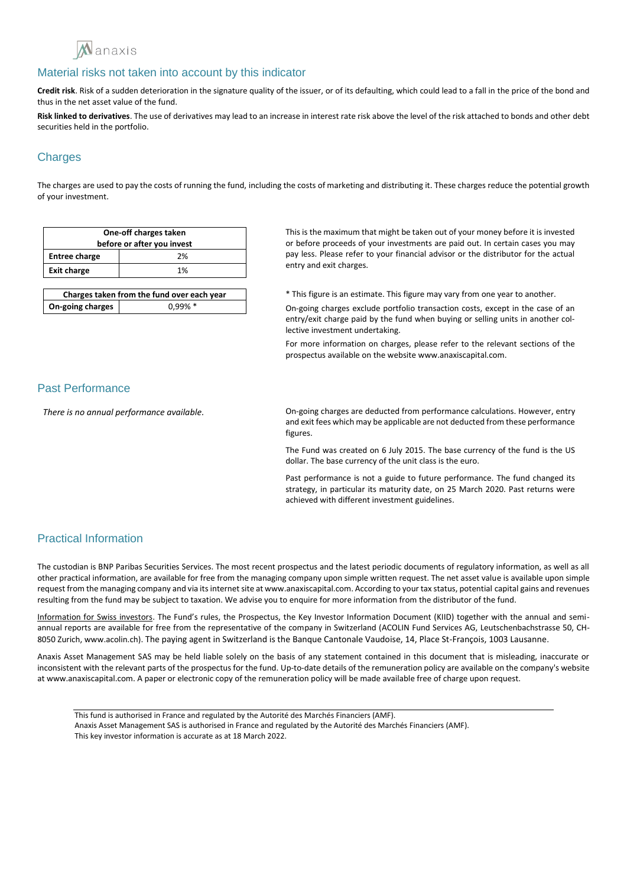

**Credit risk**. Risk of a sudden deterioration in the signature quality of the issuer, or of its defaulting, which could lead to a fall in the price of the bond and thus in the net asset value of the fund.

**Risk linked to derivatives**. The use of derivatives may lead to an increase in interest rate risk above the level of the risk attached to bonds and other debt securities held in the portfolio.

# **Charges**

The charges are used to pay the costs of running the fund, including the costs of marketing and distributing it. These charges reduce the potential growth of your investment.

| One-off charges taken<br>before or after you invest |    |
|-----------------------------------------------------|----|
| <b>Entree charge</b>                                | 2% |
| <b>Exit charge</b>                                  | 1% |
|                                                     |    |

| Charges taken from the fund over each year |            |
|--------------------------------------------|------------|
| On-going charges                           | $0.99\% *$ |

This is the maximum that might be taken out of your money before it is invested or before proceeds of your investments are paid out. In certain cases you may pay less. Please refer to your financial advisor or the distributor for the actual entry and exit charges.

\* This figure is an estimate. This figure may vary from one year to another.

On-going charges exclude portfolio transaction costs, except in the case of an entry/exit charge paid by the fund when buying or selling units in another collective investment undertaking.

For more information on charges, please refer to the relevant sections of the prospectus available on the website www.anaxiscapital.com.

### Past Performance

*There is no annual performance available.* On-going charges are deducted from performance calculations. However, entry and exit fees which may be applicable are not deducted from these performance figures.

> The Fund was created on 6 July 2015. The base currency of the fund is the US dollar. The base currency of the unit class is the euro.

> Past performance is not a guide to future performance. The fund changed its strategy, in particular its maturity date, on 25 March 2020. Past returns were achieved with different investment guidelines.

# Practical Information

The custodian is BNP Paribas Securities Services. The most recent prospectus and the latest periodic documents of regulatory information, as well as all other practical information, are available for free from the managing company upon simple written request. The net asset value is available upon simple request from the managing company and via its internet site at www.anaxiscapital.com. According to your tax status, potential capital gains and revenues resulting from the fund may be subject to taxation. We advise you to enquire for more information from the distributor of the fund.

Information for Swiss investors. The Fund's rules, the Prospectus, the Key Investor Information Document (KIID) together with the annual and semiannual reports are available for free from the representative of the company in Switzerland (ACOLIN Fund Services AG, Leutschenbachstrasse 50, CH-8050 Zurich, www.acolin.ch). The paying agent in Switzerland is the Banque Cantonale Vaudoise, 14, Place St-François, 1003 Lausanne.

This fund is authorised in France and regulated by the Autorité des Marchés Financiers (AMF). Anaxis Asset Management SAS is authorised in France and regulated by the Autorité des Marchés Financiers (AMF). This key investor information is accurate as at 18 March 2022.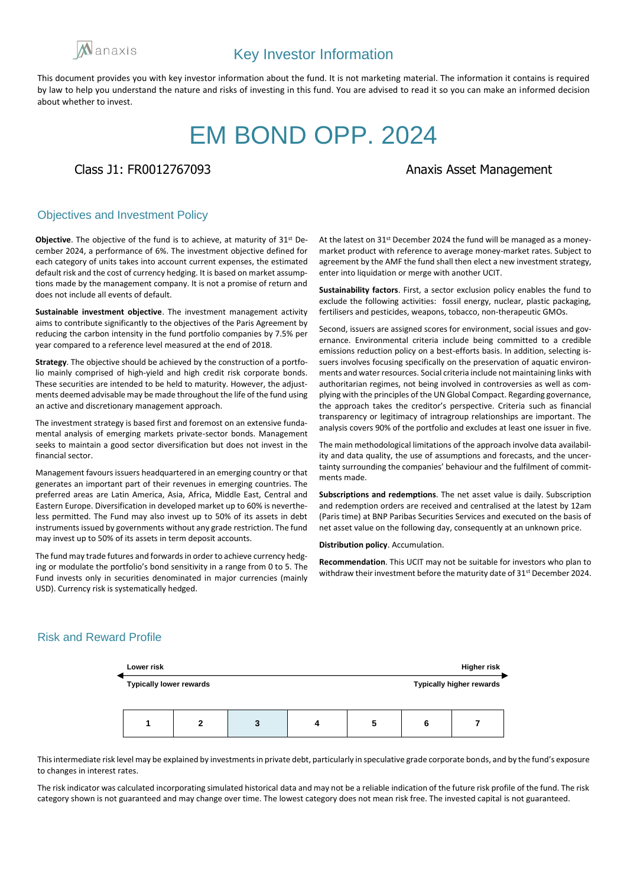

# EM BOND OPP. 2024

# Class J1: FR0012767093 and Class J1: FR0012767093

### Objectives and Investment Policy

**Objective**. The objective of the fund is to achieve, at maturity of 31st December 2024, a performance of 6%. The investment objective defined for each category of units takes into account current expenses, the estimated default risk and the cost of currency hedging. It is based on market assumptions made by the management company. It is not a promise of return and does not include all events of default.

**Sustainable investment objective**. The investment management activity aims to contribute significantly to the objectives of the Paris Agreement by reducing the carbon intensity in the fund portfolio companies by 7.5% per year compared to a reference level measured at the end of 2018.

**Strategy**. The objective should be achieved by the construction of a portfolio mainly comprised of high-yield and high credit risk corporate bonds. These securities are intended to be held to maturity. However, the adjustments deemed advisable may be made throughout the life of the fund using an active and discretionary management approach.

The investment strategy is based first and foremost on an extensive fundamental analysis of emerging markets private-sector bonds. Management seeks to maintain a good sector diversification but does not invest in the financial sector.

Management favours issuers headquartered in an emerging country or that generates an important part of their revenues in emerging countries. The preferred areas are Latin America, Asia, Africa, Middle East, Central and Eastern Europe. Diversification in developed market up to 60% is nevertheless permitted. The Fund may also invest up to 50% of its assets in debt instruments issued by governments without any grade restriction. The fund may invest up to 50% of its assets in term deposit accounts.

The fund may trade futures and forwards in order to achieve currency hedging or modulate the portfolio's bond sensitivity in a range from 0 to 5. The Fund invests only in securities denominated in major currencies (mainly USD). Currency risk is systematically hedged.

At the latest on 31st December 2024 the fund will be managed as a moneymarket product with reference to average money-market rates. Subject to agreement by the AMF the fund shall then elect a new investment strategy, enter into liquidation or merge with another UCIT.

**Sustainability factors**. First, a sector exclusion policy enables the fund to exclude the following activities: fossil energy, nuclear, plastic packaging, fertilisers and pesticides, weapons, tobacco, non-therapeutic GMOs.

Second, issuers are assigned scores for environment, social issues and governance. Environmental criteria include being committed to a credible emissions reduction policy on a best-efforts basis. In addition, selecting issuers involves focusing specifically on the preservation of aquatic environments and water resources. Social criteria include not maintaining links with authoritarian regimes, not being involved in controversies as well as complying with the principles of the UN Global Compact. Regarding governance, the approach takes the creditor's perspective. Criteria such as financial transparency or legitimacy of intragroup relationships are important. The analysis covers 90% of the portfolio and excludes at least one issuer in five.

The main methodological limitations of the approach involve data availability and data quality, the use of assumptions and forecasts, and the uncertainty surrounding the companies' behaviour and the fulfilment of commitments made.

**Subscriptions and redemptions**. The net asset value is daily. Subscription and redemption orders are received and centralised at the latest by 12am (Paris time) at BNP Paribas Securities Services and executed on the basis of net asset value on the following day, consequently at an unknown price.

**Distribution policy**. Accumulation.

**Recommendation**. This UCIT may not be suitable for investors who plan to withdraw their investment before the maturity date of 31<sup>st</sup> December 2024.

# Risk and Reward Profile



This intermediate risk level may be explained by investments in private debt, particularly in speculative grade corporate bonds, and by the fund's exposure to changes in interest rates.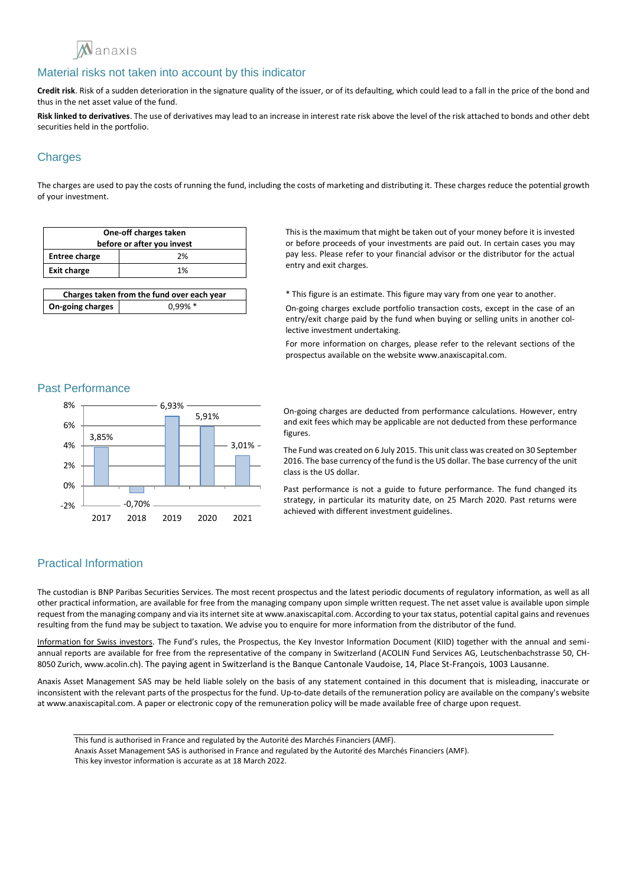

**Credit risk**. Risk of a sudden deterioration in the signature quality of the issuer, or of its defaulting, which could lead to a fall in the price of the bond and thus in the net asset value of the fund.

**Risk linked to derivatives**. The use of derivatives may lead to an increase in interest rate risk above the level of the risk attached to bonds and other debt securities held in the portfolio.

# **Charges**

The charges are used to pay the costs of running the fund, including the costs of marketing and distributing it. These charges reduce the potential growth of your investment.

| One-off charges taken<br>before or after you invest |    |
|-----------------------------------------------------|----|
| <b>Entree charge</b>                                | 2% |
| <b>Exit charge</b>                                  | 1% |
|                                                     |    |

| Charges taken from the fund over each year |            |
|--------------------------------------------|------------|
| On-going charges                           | $0.99\% *$ |

This is the maximum that might be taken out of your money before it is invested or before proceeds of your investments are paid out. In certain cases you may pay less. Please refer to your financial advisor or the distributor for the actual entry and exit charges.

\* This figure is an estimate. This figure may vary from one year to another.

On-going charges exclude portfolio transaction costs, except in the case of an entry/exit charge paid by the fund when buying or selling units in another collective investment undertaking.

For more information on charges, please refer to the relevant sections of the prospectus available on the website www.anaxiscapital.com.

#### Past Performance



On-going charges are deducted from performance calculations. However, entry and exit fees which may be applicable are not deducted from these performance figures.

The Fund was created on 6 July 2015. This unit class was created on 30 September 2016. The base currency of the fund is the US dollar. The base currency of the unit class is the US dollar.

Past performance is not a guide to future performance. The fund changed its strategy, in particular its maturity date, on 25 March 2020. Past returns were achieved with different investment guidelines.

# Practical Information

The custodian is BNP Paribas Securities Services. The most recent prospectus and the latest periodic documents of regulatory information, as well as all other practical information, are available for free from the managing company upon simple written request. The net asset value is available upon simple request from the managing company and via its internet site at www.anaxiscapital.com. According to your tax status, potential capital gains and revenues resulting from the fund may be subject to taxation. We advise you to enquire for more information from the distributor of the fund.

Information for Swiss investors. The Fund's rules, the Prospectus, the Key Investor Information Document (KIID) together with the annual and semiannual reports are available for free from the representative of the company in Switzerland (ACOLIN Fund Services AG, Leutschenbachstrasse 50, CH-8050 Zurich, www.acolin.ch). The paying agent in Switzerland is the Banque Cantonale Vaudoise, 14, Place St-François, 1003 Lausanne.

Anaxis Asset Management SAS may be held liable solely on the basis of any statement contained in this document that is misleading, inaccurate or inconsistent with the relevant parts of the prospectus for the fund. Up-to-date details of the remuneration policy are available on the company's website at www.anaxiscapital.com. A paper or electronic copy of the remuneration policy will be made available free of charge upon request.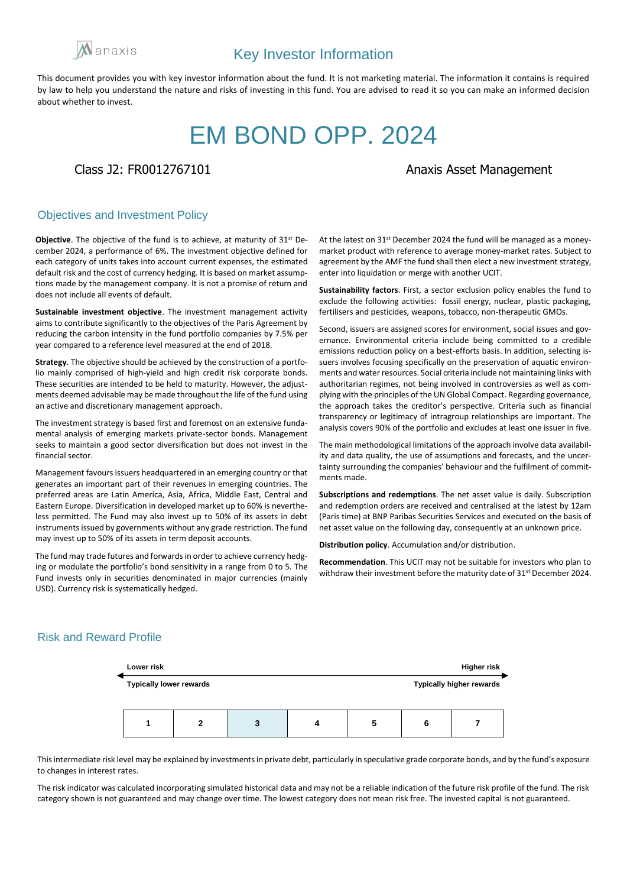

# EM BOND OPP. 2024

Class J2: FR0012767101 and Class J2: FR0012767101

### Objectives and Investment Policy

**Objective**. The objective of the fund is to achieve, at maturity of 31st December 2024, a performance of 6%. The investment objective defined for each category of units takes into account current expenses, the estimated default risk and the cost of currency hedging. It is based on market assumptions made by the management company. It is not a promise of return and does not include all events of default.

**Sustainable investment objective**. The investment management activity aims to contribute significantly to the objectives of the Paris Agreement by reducing the carbon intensity in the fund portfolio companies by 7.5% per year compared to a reference level measured at the end of 2018.

**Strategy**. The objective should be achieved by the construction of a portfolio mainly comprised of high-yield and high credit risk corporate bonds. These securities are intended to be held to maturity. However, the adjustments deemed advisable may be made throughout the life of the fund using an active and discretionary management approach.

The investment strategy is based first and foremost on an extensive fundamental analysis of emerging markets private-sector bonds. Management seeks to maintain a good sector diversification but does not invest in the financial sector.

Management favours issuers headquartered in an emerging country or that generates an important part of their revenues in emerging countries. The preferred areas are Latin America, Asia, Africa, Middle East, Central and Eastern Europe. Diversification in developed market up to 60% is nevertheless permitted. The Fund may also invest up to 50% of its assets in debt instruments issued by governments without any grade restriction. The fund may invest up to 50% of its assets in term deposit accounts.

The fund may trade futures and forwards in order to achieve currency hedging or modulate the portfolio's bond sensitivity in a range from 0 to 5. The Fund invests only in securities denominated in major currencies (mainly USD). Currency risk is systematically hedged.

At the latest on 31st December 2024 the fund will be managed as a moneymarket product with reference to average money-market rates. Subject to agreement by the AMF the fund shall then elect a new investment strategy, enter into liquidation or merge with another UCIT.

**Sustainability factors**. First, a sector exclusion policy enables the fund to exclude the following activities: fossil energy, nuclear, plastic packaging, fertilisers and pesticides, weapons, tobacco, non-therapeutic GMOs.

Second, issuers are assigned scores for environment, social issues and governance. Environmental criteria include being committed to a credible emissions reduction policy on a best-efforts basis. In addition, selecting issuers involves focusing specifically on the preservation of aquatic environments and water resources. Social criteria include not maintaining links with authoritarian regimes, not being involved in controversies as well as complying with the principles of the UN Global Compact. Regarding governance, the approach takes the creditor's perspective. Criteria such as financial transparency or legitimacy of intragroup relationships are important. The analysis covers 90% of the portfolio and excludes at least one issuer in five.

The main methodological limitations of the approach involve data availability and data quality, the use of assumptions and forecasts, and the uncertainty surrounding the companies' behaviour and the fulfilment of commitments made.

**Subscriptions and redemptions**. The net asset value is daily. Subscription and redemption orders are received and centralised at the latest by 12am (Paris time) at BNP Paribas Securities Services and executed on the basis of net asset value on the following day, consequently at an unknown price.

**Distribution policy**. Accumulation and/or distribution.

**Recommendation**. This UCIT may not be suitable for investors who plan to withdraw their investment before the maturity date of 31<sup>st</sup> December 2024.

# Risk and Reward Profile



This intermediate risk level may be explained by investments in private debt, particularly in speculative grade corporate bonds, and by the fund's exposure to changes in interest rates.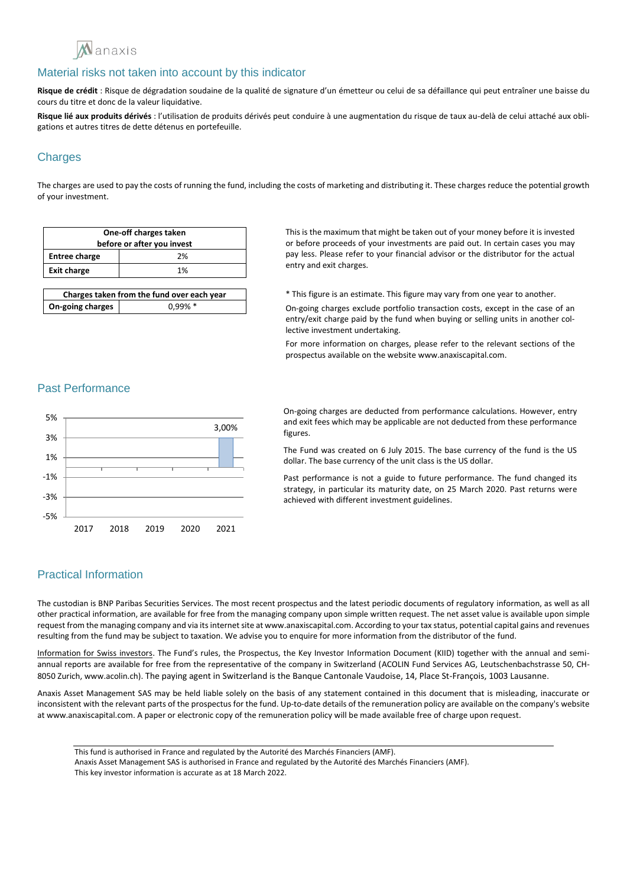

**Risque de crédit** : Risque de dégradation soudaine de la qualité de signature d'un émetteur ou celui de sa défaillance qui peut entraîner une baisse du cours du titre et donc de la valeur liquidative.

**Risque lié aux produits dérivés** : l'utilisation de produits dérivés peut conduire à une augmentation du risque de taux au-delà de celui attaché aux obligations et autres titres de dette détenus en portefeuille.

# **Charges**

The charges are used to pay the costs of running the fund, including the costs of marketing and distributing it. These charges reduce the potential growth of your investment.

| One-off charges taken<br>before or after you invest |    |
|-----------------------------------------------------|----|
| <b>Entree charge</b>                                | 2% |
| <b>Exit charge</b>                                  | 1% |
|                                                     |    |

| Charges taken from the fund over each year |            |
|--------------------------------------------|------------|
| On-going charges                           | $0.99\% *$ |

This is the maximum that might be taken out of your money before it is invested or before proceeds of your investments are paid out. In certain cases you may pay less. Please refer to your financial advisor or the distributor for the actual entry and exit charges.

\* This figure is an estimate. This figure may vary from one year to another.

On-going charges exclude portfolio transaction costs, except in the case of an entry/exit charge paid by the fund when buying or selling units in another collective investment undertaking.

For more information on charges, please refer to the relevant sections of the prospectus available on the website www.anaxiscapital.com.

### Past Performance



On-going charges are deducted from performance calculations. However, entry and exit fees which may be applicable are not deducted from these performance figures.

The Fund was created on 6 July 2015. The base currency of the fund is the US dollar. The base currency of the unit class is the US dollar.

Past performance is not a guide to future performance. The fund changed its strategy, in particular its maturity date, on 25 March 2020. Past returns were achieved with different investment guidelines.

### Practical Information

The custodian is BNP Paribas Securities Services. The most recent prospectus and the latest periodic documents of regulatory information, as well as all other practical information, are available for free from the managing company upon simple written request. The net asset value is available upon simple request from the managing company and via its internet site at www.anaxiscapital.com. According to your tax status, potential capital gains and revenues resulting from the fund may be subject to taxation. We advise you to enquire for more information from the distributor of the fund.

Information for Swiss investors. The Fund's rules, the Prospectus, the Key Investor Information Document (KIID) together with the annual and semiannual reports are available for free from the representative of the company in Switzerland (ACOLIN Fund Services AG, Leutschenbachstrasse 50, CH-8050 Zurich, www.acolin.ch). The paying agent in Switzerland is the Banque Cantonale Vaudoise, 14, Place St-François, 1003 Lausanne.

Anaxis Asset Management SAS may be held liable solely on the basis of any statement contained in this document that is misleading, inaccurate or inconsistent with the relevant parts of the prospectus for the fund. Up-to-date details of the remuneration policy are available on the company's website at www.anaxiscapital.com. A paper or electronic copy of the remuneration policy will be made available free of charge upon request.

This fund is authorised in France and regulated by the Autorité des Marchés Financiers (AMF).

Anaxis Asset Management SAS is authorised in France and regulated by the Autorité des Marchés Financiers (AMF).

This key investor information is accurate as at 18 March 2022.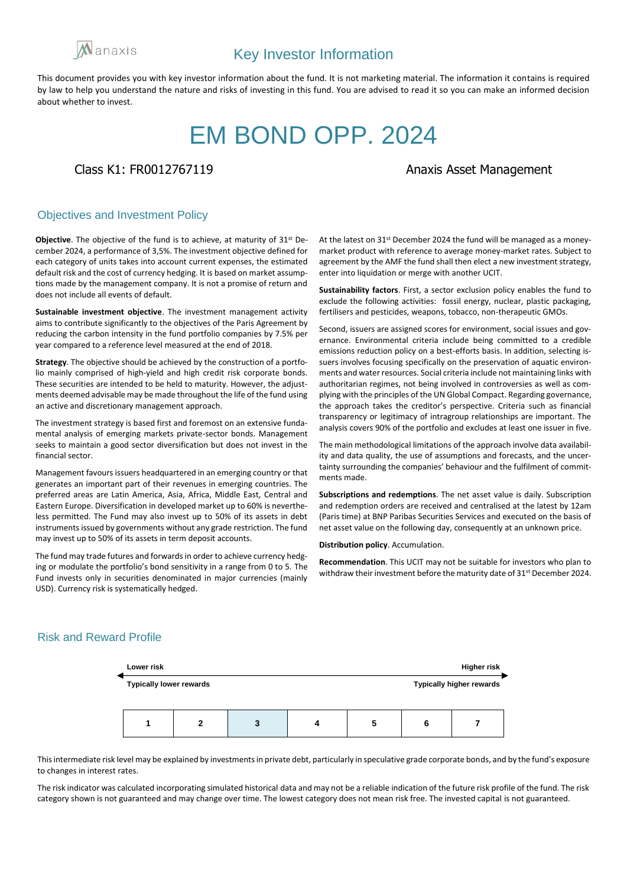

# EM BOND OPP. 2024

Class K1: FR0012767119 **Anazis Asset Management** 

### Objectives and Investment Policy

**Objective**. The objective of the fund is to achieve, at maturity of 31st December 2024, a performance of 3,5%. The investment objective defined for each category of units takes into account current expenses, the estimated default risk and the cost of currency hedging. It is based on market assumptions made by the management company. It is not a promise of return and does not include all events of default.

**Sustainable investment objective**. The investment management activity aims to contribute significantly to the objectives of the Paris Agreement by reducing the carbon intensity in the fund portfolio companies by 7.5% per year compared to a reference level measured at the end of 2018.

**Strategy**. The objective should be achieved by the construction of a portfolio mainly comprised of high-yield and high credit risk corporate bonds. These securities are intended to be held to maturity. However, the adjustments deemed advisable may be made throughout the life of the fund using an active and discretionary management approach.

The investment strategy is based first and foremost on an extensive fundamental analysis of emerging markets private-sector bonds. Management seeks to maintain a good sector diversification but does not invest in the financial sector.

Management favours issuers headquartered in an emerging country or that generates an important part of their revenues in emerging countries. The preferred areas are Latin America, Asia, Africa, Middle East, Central and Eastern Europe. Diversification in developed market up to 60% is nevertheless permitted. The Fund may also invest up to 50% of its assets in debt instruments issued by governments without any grade restriction. The fund may invest up to 50% of its assets in term deposit accounts.

The fund may trade futures and forwards in order to achieve currency hedging or modulate the portfolio's bond sensitivity in a range from 0 to 5. The Fund invests only in securities denominated in major currencies (mainly USD). Currency risk is systematically hedged.

At the latest on 31st December 2024 the fund will be managed as a moneymarket product with reference to average money-market rates. Subject to agreement by the AMF the fund shall then elect a new investment strategy, enter into liquidation or merge with another UCIT.

**Sustainability factors**. First, a sector exclusion policy enables the fund to exclude the following activities: fossil energy, nuclear, plastic packaging, fertilisers and pesticides, weapons, tobacco, non-therapeutic GMOs.

Second, issuers are assigned scores for environment, social issues and governance. Environmental criteria include being committed to a credible emissions reduction policy on a best-efforts basis. In addition, selecting issuers involves focusing specifically on the preservation of aquatic environments and water resources. Social criteria include not maintaining links with authoritarian regimes, not being involved in controversies as well as complying with the principles of the UN Global Compact. Regarding governance, the approach takes the creditor's perspective. Criteria such as financial transparency or legitimacy of intragroup relationships are important. The analysis covers 90% of the portfolio and excludes at least one issuer in five.

The main methodological limitations of the approach involve data availability and data quality, the use of assumptions and forecasts, and the uncertainty surrounding the companies' behaviour and the fulfilment of commitments made.

**Subscriptions and redemptions**. The net asset value is daily. Subscription and redemption orders are received and centralised at the latest by 12am (Paris time) at BNP Paribas Securities Services and executed on the basis of net asset value on the following day, consequently at an unknown price.

**Distribution policy**. Accumulation.

**Recommendation**. This UCIT may not be suitable for investors who plan to withdraw their investment before the maturity date of 31<sup>st</sup> December 2024.

# Risk and Reward Profile



This intermediate risk level may be explained by investments in private debt, particularly in speculative grade corporate bonds, and by the fund's exposure to changes in interest rates.